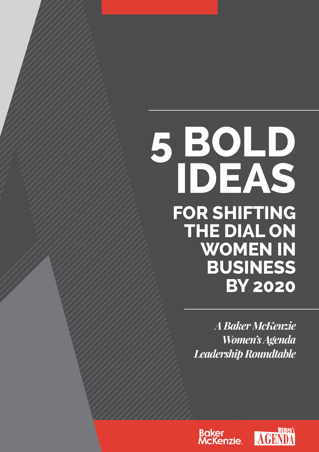# **5 bold ideas for shifting THE DIAL ON women in business by 2020**

*A Baker McKenzie Women's Agenda Leadership Roundtable* 



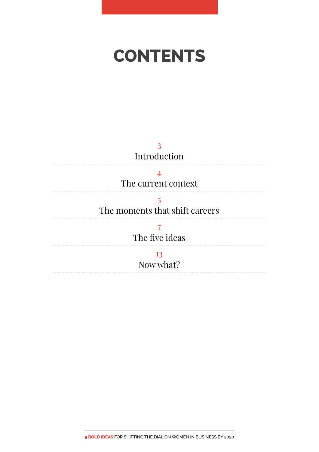## <span id="page-1-0"></span>**contents**

3 Introduction

[4](#page-3-0) [The current context](#page-3-0) 

[5](#page-4-0) [The moments that shift careers](#page-4-0) 

> [7](#page-6-0) [The five ideas](#page-6-0)

> > [13](#page-12-0) [Now what?](#page-12-0)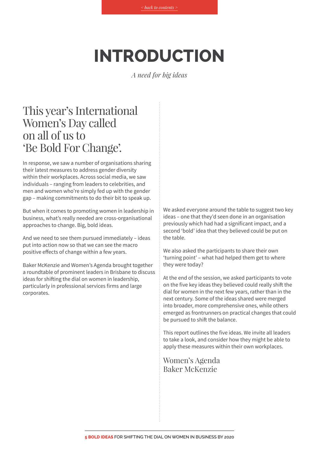## **Introduction**

*A need for big ideas*

#### This year's International Women's Day called on all of us to 'Be Bold For Change'.

In response, we saw a number of organisations sharing their latest measures to address gender diversity within their workplaces. Across social media, we saw individuals – ranging from leaders to celebrities, and men and women who're simply fed up with the gender gap – making commitments to do their bit to speak up.

But when it comes to promoting women in leadership in business, what's really needed are cross-organisational approaches to change. Big, bold ideas.

And we need to see them pursued immediately – ideas put into action now so that we can see the macro positive effects of change within a few years.

Baker McKenzie and Women's Agenda brought together a roundtable of prominent leaders in Brisbane to discuss ideas for shifting the dial on women in leadership, particularly in professional services firms and large corporates.

We asked everyone around the table to suggest two key ideas – one that they'd seen done in an organisation previously which had had a significant impact, and a second 'bold' idea that they believed could be put on the table.

We also asked the participants to share their own 'turning point' – what had helped them get to where they were today?

At the end of the session, we asked participants to vote on the five key ideas they believed could really shift the dial for women in the next few years, rather than in the next century. Some of the ideas shared were merged into broader, more comprehensive ones, while others emerged as frontrunners on practical changes that could be pursued to shift the balance.

This report outlines the five ideas. We invite all leaders to take a look, and consider how they might be able to apply these measures within their own workplaces.

Women's Agenda Baker McKenzie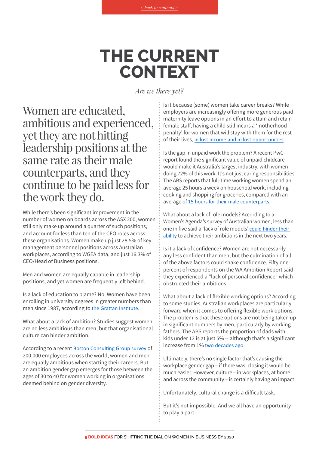### **The Current Context**

*Are we there yet?*

<span id="page-3-0"></span>Women are educated, ambitious and experienced, yet they are not hitting leadership positions at the same rate as their male counterparts, and they continue to be paid less for the work they do.

While there's been significant improvement in the number of women on boards across the ASX 200, women still only make up around a quarter of such positions, and account for less than ten of the CEO roles across these organisations. Women make up just 28.5% of key management personnel positions across Australian workplaces, according to WGEA data, and just 16.3% of CEO/Head of Business positions.

Men and women are equally capable in leadership positions, and yet women are frequently left behind.

Is a lack of education to blame? No. Women have been enrolling in university degrees in greater numbers than men since 1987, according to [the Grattan Institute](https://grattan.edu.au/wp-content/uploads/2014/10/816-mapping-higher-education-2014.pdf).

What about a lack of ambition? Studies suggest women are no less ambitious than men, but that organisational culture can hinder ambition.

According to a recent **[Boston Consulting Group survey](https://www.bcgperspectives.com/content/articles/people-organization-leadership-change-dispelling-the-myths-of-the-gender-ambition-gap/)** of 200,000 employees across the world, women and men are equally ambitious when starting their careers. But an ambition gender gap emerges for those between the ages of 30 to 40 for women working in organisations deemed behind on gender diversity.

Is it because (some) women take career breaks? While employers are increasingly offering more generous paid maternity leave options in an effort to attain and retain female staff, having a child still incurs a 'motherhood penalty' for women that will stay with them for the rest of their lives, [in lost income and in lost opportunities](http://www.theaustralian.com.au/life/the-motherhood-penalty/news-story/9a070a691f320a1182c1887fee3c397e).

Is the gap in unpaid work the problem? A recent PwC report found the significant value of unpaid childcare would make it Australia's largest industry, with women doing 72% of this work. It's not just caring responsibilities. The ABS reports that full-time working women spend an average 25 hours a week on household work, including cooking and shopping for groceries, compared with an average of [15 hours for their male counterparts](https://theconversation.com/we-can-we-reduce-gender-inequality-in-housework-heres-how-58130).

What about a lack of role models? According to a Women's Agenda's survey of Australian women, less than one in five said a 'lack of role models' [could hinder their](https://womensagenda.com.au/wp-content/uploads/2017/03/Ambition-Report.pdf)  [ability](https://womensagenda.com.au/wp-content/uploads/2017/03/Ambition-Report.pdf) to achieve their ambitions in the next two years.

Is it a lack of confidence? Women are not necessarily any less confident than men, but the culmination of all of the above factors could shake confidence. Fifty one percent of respondents on the WA Ambition Report said they experienced a "lack of personal confidence" which obstructed their ambitions.

What about a lack of flexible working options? According to some studies, Australian workplaces are particularly forward when it comes to offering flexible work options. The problem is that these options are not being taken up in significant numbers by men, particularly by working fathers. The ABS reports the proportion of dads with kids under 12 is at just 5% -- although that's a significant increase from 1% [two decades ago](http://www.abs.gov.au/ausstats/abs@.nsf/Lookup/by%20Subject/4125.0~August%202016~Media%20Release~Dad).

Ultimately, there's no single factor that's causing the workplace gender gap – if there was, closing it would be much easier. However, culture – in workplaces, at home and across the community – is certainly having an impact.

Unfortunately, cultural change is a difficult task.

But it's not impossible. And we all have an opportunity to play a part.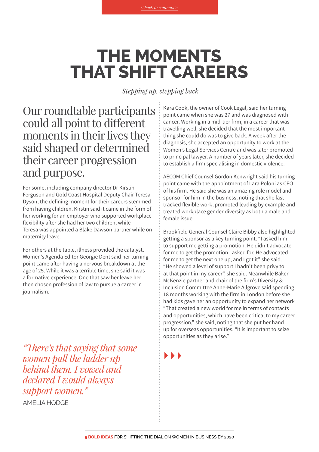## <span id="page-4-0"></span>**The moments that shift careers**

 *Stepping up, stepping back*

Our roundtable participants could all point to different moments in their lives they said shaped or determined their career progression and purpose.

For some, including company director Dr Kirstin Ferguson and Gold Coast Hospital Deputy Chair Teresa Dyson, the defining moment for their careers stemmed from having children. Kirstin said it came in the form of her working for an employer who supported workplace flexibility after she had her two children, while Teresa was appointed a Blake Dawson partner while on maternity leave.

For others at the table, illness provided the catalyst. Women's Agenda Editor Georgie Dent said her turning point came after having a nervous breakdown at the age of 25. While it was a terrible time, she said it was a formative experience. One that saw her leave her then chosen profession of law to pursue a career in journalism.

*"There's that saying that some women pull the ladder up behind them. I vowed and declared I would always support women."* Amelia Hodge

Kara Cook, the owner of Cook Legal, said her turning point came when she was 27 and was diagnosed with cancer. Working in a mid-tier firm, in a career that was travelling well, she decided that the most important thing she could do was to give back. A week after the diagnosis, she accepted an opportunity to work at the Women's Legal Services Centre and was later promoted to principal lawyer. A number of years later, she decided to establish a firm specialising in domestic violence.

AECOM Chief Counsel Gordon Kenwright said his turning point came with the appointment of Lara Poloni as CEO of his firm. He said she was an amazing role model and sponsor for him in the business, noting that she fast tracked flexible work, promoted leading by example and treated workplace gender diversity as both a male and female issue.

Brookfield General Counsel Claire Bibby also highlighted getting a sponsor as a key turning point. "I asked him to support me getting a promotion. He didn't advocate for me to get the promotion I asked for. He advocated for me to get the next one up, and I got it" she said. "He showed a level of support I hadn't been privy to at that point in my career", she said. Meanwhile Baker McKenzie partner and chair of the firm's Diversity & Inclusion Committee Anne-Marie Allgrove said spending 18 months working with the firm in London before she had kids gave her an opportunity to expand her network "That created a new world for me in terms of contacts and opportunities, which have been critical to my career progression," she said, noting that she put her hand up for overseas opportunities. "It is important to seize opportunities as they arise."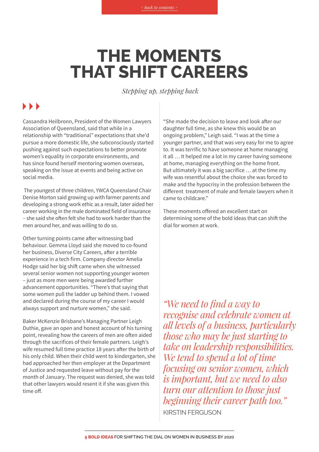## **The moments that shift careers**

 *Stepping up, stepping back*

#### $\blacksquare$

Cassandra Heilbronn, President of the Women Lawyers Association of Queensland, said that while in a relationship with "traditional" expectations that she'd pursue a more domestic life, she subconsciously started pushing against such expectations to better promote women's equality in corporate environments, and has since found herself mentoring women overseas, speaking on the issue at events and being active on social media.

 The youngest of three children, YWCA Queensland Chair Denise Morton said growing up with farmer parents and developing a strong work ethic as a result, later aided her career working in the male dominated field of insurance – she said she often felt she had to work harder than the men around her, and was willing to do so.

Other turning points came after witnessing bad behaviour. Gemma Lloyd said she moved to co-found her business, Diverse City Careers, after a terrible experience in a tech firm. Company director Amelia Hodge said her big shift came when she witnessed several senior women not supporting younger women – just as more men were being awarded further advancement opportunities. "There's that saying that some women pull the ladder up behind them. I vowed and declared during the course of my career I would always support and nurture women," she said.

Baker McKenzie Brisbane's Managing Partner Leigh Duthie, gave an open and honest account of his turning point, revealing how the careers of men are often aided through the sacrifices of their female partners. Leigh's wife resumed full time practice 18 years after the birth of his only child. When their child went to kindergarten, she had approached her then employer at the Department of Justice and requested leave without pay for the month of January. The request was denied, she was told that other lawyers would resent it if she was given this time off.

"She made the decision to leave and look after our daughter full time, as she knew this would be an ongoing problem," Leigh said. "I was at the time a younger partner, and that was very easy for me to agree to. It was terrific to have someone at home managing it all … It helped me a lot in my career having someone at home, managing everything on the home front. But ultimately it was a big sacrifice … at the time my wife was resentful about the choice she was forced to make and the hypocrisy in the profession between the different treatment of male and female lawyers when it came to childcare."

These moments offered an excellent start on determining some of the bold ideas that can shift the dial for women at work.

*"We need to find a way to recognise and celebrate women at all levels of a business, particularly those who may be just starting to take on leadership responsibilities. We tend to spend a lot of time focusing on senior women, which is important, but we need to also turn our attention to those just beginning their career path too."*  Kirstin Ferguson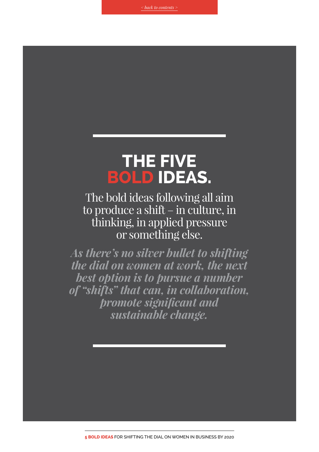### <span id="page-6-0"></span>**The Five Bold Ideas.**

The bold ideas following all aim to produce a shift – in culture, in thinking, in applied pressure or something else.

*As there's no silver bullet to shifting the dial on women at work, the next best option is to pursue a number of "shifts" that can, in collaboration, promote significant and sustainable change.*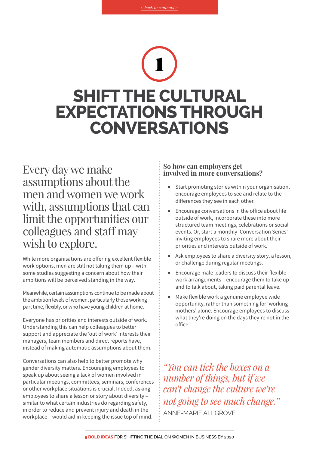# **Shift the cultural expectations through conversations**  1

Every day we make assumptions about the men and women we work with, assumptions that can limit the opportunities our colleagues and staff may wish to explore.

While more organisations are offering excellent flexible work options, men are still not taking them up – with some studies suggesting a concern about how their ambitions will be perceived standing in the way.

Meanwhile, certain assumptions continue to be made about the ambition levels of women, particularly those working part time, flexibly, or who have young children at home.

Everyone has priorities and interests outside of work. Understanding this can help colleagues to better support and appreciate the 'out of work' interests their managers, team members and direct reports have, instead of making automatic assumptions about them.

Conversations can also help to better promote why gender diversity matters. Encouraging employees to speak up about seeing a lack of women involved in particular meetings, committees, seminars, conferences or other workplace situations is crucial. Indeed, asking employees to share a lesson or story about diversity – similar to what certain industries do regarding safety, in order to reduce and prevent injury and death in the workplace – would aid in keeping the issue top of mind.

#### **So how can employers get involved in more conversations?**

- Start promoting stories within your organisation, encourage employees to see and relate to the differences they see in each other.
- Encourage conversations in the office about life outside of work, incorporate these into more structured team meetings, celebrations or social events. Or, start a monthly 'Conversation Series' inviting employees to share more about their priorities and interests outside of work.
- Ask employees to share a diversity story, a lesson, or challenge during regular meetings.
- • Encourage male leaders to discuss their flexible work arrangements – encourage them to take up and to talk about, taking paid parental leave.
- Make flexible work a genuine employee wide opportunity, rather than something for 'working mothers' alone. Encourage employees to discuss what they're doing on the days they're not in the office

*"You can tick the boxes on a number of things, but if we can't change the culture we're not going to see much change."*  Anne-Marie Allgrove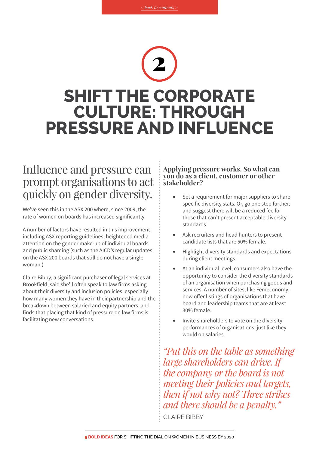## 2 **Shift the corporate culture: Through pressure and influence**

### Influence and pressure can prompt organisations to act quickly on gender diversity.

We've seen this in the ASX 200 where, since 2009, the rate of women on boards has increased significantly.

A number of factors have resulted in this improvement, including ASX reporting guidelines, heightened media attention on the gender make-up of individual boards and public shaming (such as the AICD's regular updates on the ASX 200 boards that still do not have a single woman.)

Claire Bibby, a significant purchaser of legal services at Brookfield, said she'll often speak to law firms asking about their diversity and inclusion policies, especially how many women they have in their partnership and the breakdown between salaried and equity partners, and finds that placing that kind of pressure on law firms is facilitating new conversations.

#### **Applying pressure works. So what can you do as a client, customer or other stakeholder?**

- Set a requirement for major suppliers to share specific diversity stats. Or, go one step further, and suggest there will be a reduced fee for those that can't present acceptable diversity standards.
- Ask recruiters and head hunters to present candidate lists that are 50% female.
- Highlight diversity standards and expectations during client meetings.
- At an individual level, consumers also have the opportunity to consider the diversity standards of an organisation when purchasing goods and services. A number of sites, like Femeconomy, now offer listings of organisations that have board and leadership teams that are at least 30% female.
- Invite shareholders to vote on the diversity performances of organisations, just like they would on salaries.

*"Put this on the table as something large shareholders can drive. If the company or the board is not meeting their policies and targets, then if not why not? Three strikes and there should be a penalty."*  Claire Bibby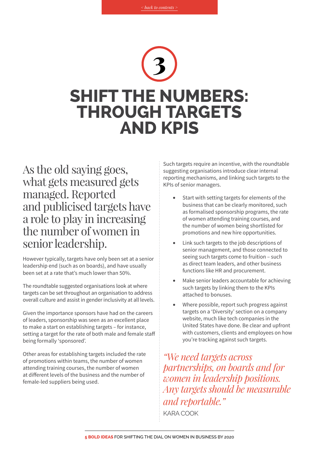# 3 **Shift the numbers: Through targets and KPIs**

As the old saying goes, what gets measured gets managed. Reported and publicised targets have a role to play in increasing the number of women in senior leadership.

However typically, targets have only been set at a senior leadership end (such as on boards), and have usually been set at a rate that's much lower than 50%.

The roundtable suggested organisations look at where targets can be set throughout an organisation to address overall culture and assist in gender inclusivity at all levels.

Given the importance sponsors have had on the careers of leaders, sponsorship was seen as an excellent place to make a start on establishing targets – for instance, setting a target for the rate of both male and female staff being formally 'sponsored'.

Other areas for establishing targets included the rate of promotions within teams, the number of women attending training courses, the number of women at different levels of the business and the number of female-led suppliers being used.

Such targets require an incentive, with the roundtable suggesting organisations introduce clear internal reporting mechanisms, and linking such targets to the KPIs of senior managers.

- Start with setting targets for elements of the business that can be clearly monitored, such as formalised sponsorship programs, the rate of women attending training courses, and the number of women being shortlisted for promotions and new hire opportunities.
- Link such targets to the job descriptions of senior management, and those connected to seeing such targets come to fruition – such as direct team leaders, and other business functions like HR and procurement.
- Make senior leaders accountable for achieving such targets by linking them to the KPIs attached to bonuses.
- Where possible, report such progress against targets on a 'Diversity' section on a company website, much like tech companies in the United States have done. Be clear and upfront with customers, clients and employees on how you're tracking against such targets.

*"We need targets across partnerships, on boards and for women in leadership positions. Any targets should be measurable and reportable."*  Kara Cook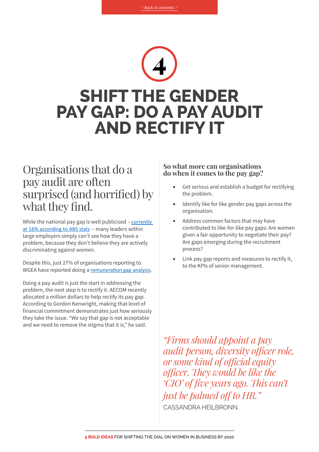# 4 **Shift the gender pay gap: Do a pay audit and rectify it**

### Organisations that do a pay audit are often surprised (and horrified) by what they find.

While the national pay gap is well publicised - currently [at 16% according to ABS stats](https://www.wgea.gov.au/sites/default/files/gender-pay-gap-statistics.pdf) -- many leaders within large employers simply can't see how they have a problem, because they don't believe they are actively discriminating against women.

Despite this, just 27% of organisations reporting to WGEA have reported doing a [remuneration gap analysis](https://www.wgea.gov.au/sites/default/files/80653_2015-16-gender-equality-scorecard.pdf).

Doing a pay audit is just the start in addressing the problem, the next step is to rectify it. AECOM recently allocated a million dollars to help rectify its pay gap. According to Gordon Kenwright, making that level of financial commitment demonstrates just how seriously they take the issue. "We say that gap is not acceptable and we need to remove the stigma that it is," he said.

#### **So what more can organisations do when it comes to the pay gap?**

- Get serious and establish a budget for rectifying the problem.
- Identify like for like gender pay gaps across the organisation.
- Address common factors that may have contributed to like-for-like pay gaps: Are women given a fair opportunity to negotiate their pay? Are gaps emerging during the recruitment process?
- Link pay gap reports and measures to rectify it, to the KPIs of senior management.

*"Firms should appoint a pay audit person, diversity officer role, or some kind of official equity officer. They would be like the 'CIO' of five years ago. This can't just be palmed off to HR."* CASSANDRA HEIL BRONN.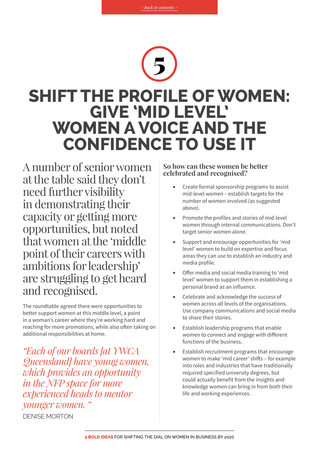## **Shift the profile of women: Give 'mid level' women a voice and the confidence to use it** 5

A number of senior women at the table said they don't need further visibility in demonstrating their capacity or getting more opportunities, but noted that women at the 'middle point of their careers with ambitions for leadership' are struggling to get heard and recognised.

The roundtable agreed there were opportunities to better support women at this middle level, a point in a woman's career where they're working hard and reaching for more promotions, while also often taking on additional responsibilities at home.

*"Each of our boards [at YWCA Queensland] have young women, which provides an opportunity in the NFP space for more experienced heads to mentor younger women. "* Denise Morton

#### **So how can these women be better celebrated and recognised?**

- Create formal sponsorship programs to assist mid-level women – establish targets for the number of women involved (as suggested above).
- Promote the profiles and stories of mid-level women through internal communications. Don't target senior women alone.
- Support and encourage opportunities for 'mid level' women to build on expertise and focus areas they can use to establish an industry and media profile.
- Offer media and social media training to 'mid level' women to support them in establishing a personal brand as an influence.
- Celebrate and acknowledge the success of women across all levels of the organisations. Use company communications and social media to share their stories.
- Establish leadership programs that enable women to connect and engage with different functions of the business.
- Establish recruitment programs that encourage women to make 'mid career' shifts – for example into roles and industries that have traditionally required specified university degrees, but could actually benefit from the insights and knowledge women can bring in from both their life and working experiences.